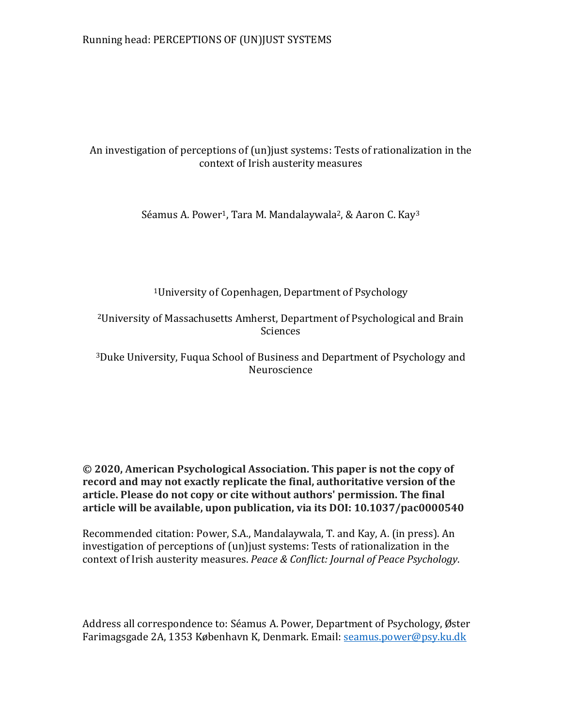# An investigation of perceptions of (un)just systems: Tests of rationalization in the context of Irish austerity measures

Séamus A. Power<sup>1</sup>, Tara M. Mandalaywala<sup>2</sup>, & Aaron C. Kay<sup>3</sup>

<sup>1</sup>University of Copenhagen, Department of Psychology

<sup>2</sup>University of Massachusetts Amherst, Department of Psychological and Brain Sciences

<sup>3</sup>Duke University, Fuqua School of Business and Department of Psychology and Neuroscience

# **© 2020, American Psychological Association. This paper is not the copy of record and may not exactly replicate the final, authoritative version of the article. Please do not copy or cite without authors' permission. The final article will be available, upon publication, via its DOI: 10.1037/pac0000540**

Recommended citation: Power, S.A., Mandalaywala, T. and Kay, A. (in press). An investigation of perceptions of (un)just systems: Tests of rationalization in the context of Irish austerity measures. *Peace & Conflict: Journal of Peace Psychology*.

Address all correspondence to: Séamus A. Power, Department of Psychology, Øster Farimagsgade 2A, 1353 København K, Denmark. Email: [seamus.power@psy.ku.dk](mailto:seamus.power@psy.ku.dk)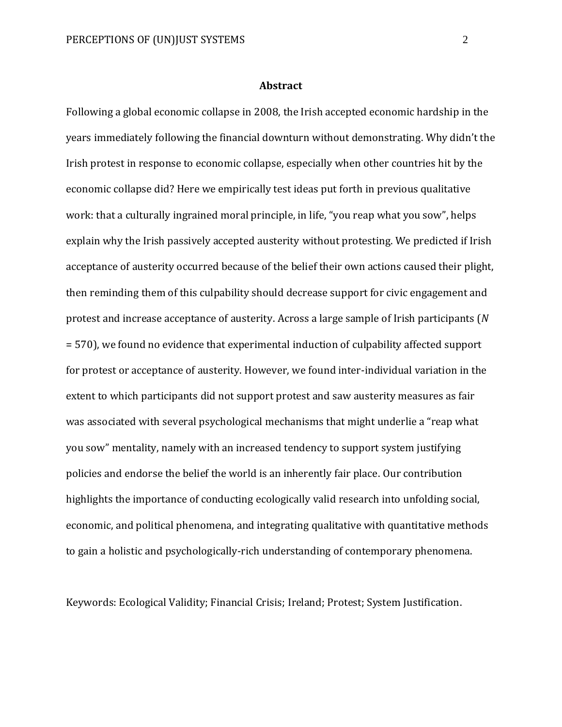## **Abstract**

Following a global economic collapse in 2008, the Irish accepted economic hardship in the years immediately following the financial downturn without demonstrating. Why didn't the Irish protest in response to economic collapse, especially when other countries hit by the economic collapse did? Here we empirically test ideas put forth in previous qualitative work: that a culturally ingrained moral principle, in life, "you reap what you sow", helps explain why the Irish passively accepted austerity without protesting. We predicted if Irish acceptance of austerity occurred because of the belief their own actions caused their plight, then reminding them of this culpability should decrease support for civic engagement and protest and increase acceptance of austerity. Across a large sample of Irish participants (*N* = 570), we found no evidence that experimental induction of culpability affected support for protest or acceptance of austerity. However, we found inter-individual variation in the extent to which participants did not support protest and saw austerity measures as fair was associated with several psychological mechanisms that might underlie a "reap what you sow" mentality, namely with an increased tendency to support system justifying policies and endorse the belief the world is an inherently fair place. Our contribution highlights the importance of conducting ecologically valid research into unfolding social, economic, and political phenomena, and integrating qualitative with quantitative methods to gain a holistic and psychologically-rich understanding of contemporary phenomena.

Keywords: Ecological Validity; Financial Crisis; Ireland; Protest; System Justification.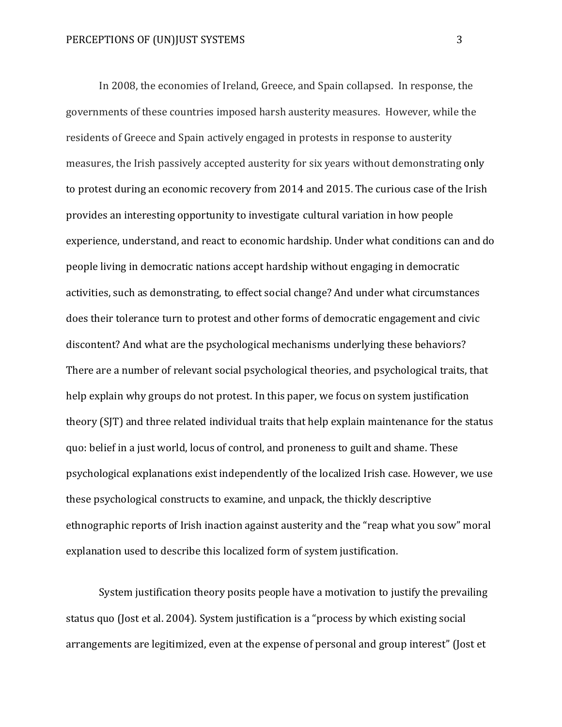In 2008, the economies of Ireland, Greece, and Spain collapsed. In response, the governments of these countries imposed harsh austerity measures. However, while the residents of Greece and Spain actively engaged in protests in response to austerity measures, the Irish passively accepted austerity for six years without demonstrating only to protest during an economic recovery from 2014 and 2015. The curious case of the Irish provides an interesting opportunity to investigate cultural variation in how people experience, understand, and react to economic hardship. Under what conditions can and do people living in democratic nations accept hardship without engaging in democratic activities, such as demonstrating, to effect social change? And under what circumstances does their tolerance turn to protest and other forms of democratic engagement and civic discontent? And what are the psychological mechanisms underlying these behaviors? There are a number of relevant social psychological theories, and psychological traits, that help explain why groups do not protest. In this paper, we focus on system justification theory (SJT) and three related individual traits that help explain maintenance for the status quo: belief in a just world, locus of control, and proneness to guilt and shame. These psychological explanations exist independently of the localized Irish case. However, we use these psychological constructs to examine, and unpack, the thickly descriptive ethnographic reports of Irish inaction against austerity and the "reap what you sow" moral explanation used to describe this localized form of system justification.

System justification theory posits people have a motivation to justify the prevailing status quo (Jost et al. 2004). System justification is a "process by which existing social arrangements are legitimized, even at the expense of personal and group interest" (Jost et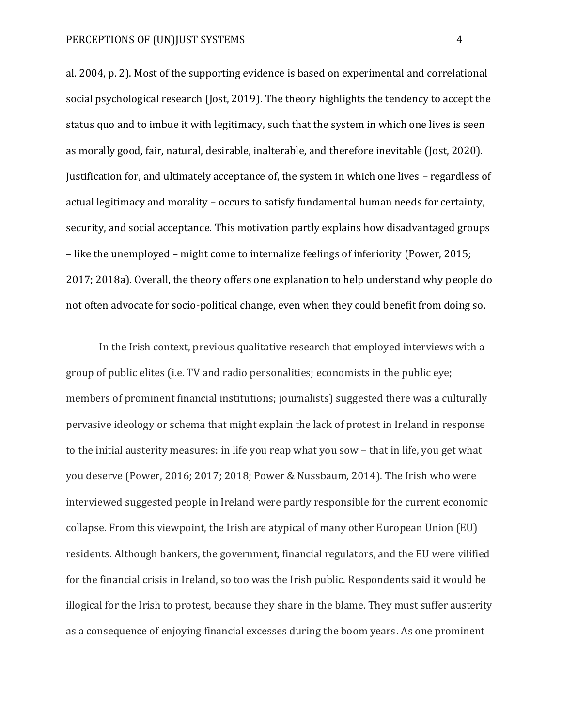al. 2004, p. 2). Most of the supporting evidence is based on experimental and correlational social psychological research (Jost, 2019). The theory highlights the tendency to accept the status quo and to imbue it with legitimacy, such that the system in which one lives is seen as morally good, fair, natural, desirable, inalterable, and therefore inevitable (Jost, 2020). Justification for, and ultimately acceptance of, the system in which one lives – regardless of actual legitimacy and morality – occurs to satisfy fundamental human needs for certainty, security, and social acceptance. This motivation partly explains how disadvantaged groups – like the unemployed – might come to internalize feelings of inferiority (Power, 2015; 2017; 2018a). Overall, the theory offers one explanation to help understand why people do not often advocate for socio-political change, even when they could benefit from doing so.

In the Irish context, previous qualitative research that employed interviews with a group of public elites (i.e. TV and radio personalities; economists in the public eye; members of prominent financial institutions; journalists) suggested there was a culturally pervasive ideology or schema that might explain the lack of protest in Ireland in response to the initial austerity measures: in life you reap what you sow – that in life, you get what you deserve (Power, 2016; 2017; 2018; Power & Nussbaum, 2014). The Irish who were interviewed suggested people in Ireland were partly responsible for the current economic collapse. From this viewpoint, the Irish are atypical of many other European Union (EU) residents. Although bankers, the government, financial regulators, and the EU were vilified for the financial crisis in Ireland, so too was the Irish public. Respondents said it would be illogical for the Irish to protest, because they share in the blame. They must suffer austerity as a consequence of enjoying financial excesses during the boom years. As one prominent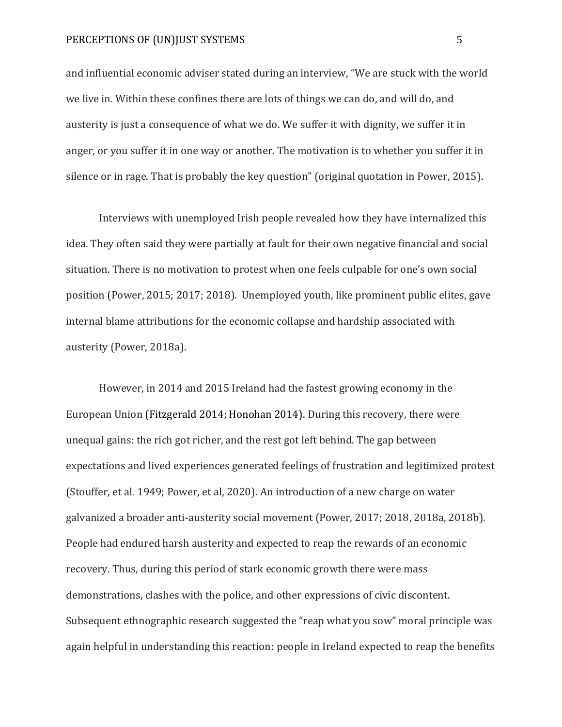and influential economic adviser stated during an interview, "We are stuck with the world we live in. Within these confines there are lots of things we can do, and will do, and austerity is just a consequence of what we do. We suffer it with dignity, we suffer it in anger, or you suffer it in one way or another. The motivation is to whether you suffer it in silence or in rage. That is probably the key question" (original quotation in Power, 2015).

Interviews with unemployed Irish people revealed how they have internalized this idea. They often said they were partially at fault for their own negative financial and social situation. There is no motivation to protest when one feels culpable for one's own social position (Power, 2015; 2017; 2018). Unemployed youth, like prominent public elites, gave internal blame attributions for the economic collapse and hardship associated with austerity (Power, 2018a).

However, in 2014 and 2015 Ireland had the fastest growing economy in the European Union (Fitzgerald 2014; Honohan 2014). During this recovery, there were unequal gains: the rich got richer, and the rest got left behind. The gap between expectations and lived experiences generated feelings of frustration and legitimized protest (Stouffer, et al. 1949; Power, et al, 2020). An introduction of a new charge on water galvanized a broader anti-austerity social movement (Power, 2017; 2018, 2018a, 2018b). People had endured harsh austerity and expected to reap the rewards of an economic recovery. Thus, during this period of stark economic growth there were mass demonstrations, clashes with the police, and other expressions of civic discontent. Subsequent ethnographic research suggested the "reap what you sow" moral principle was again helpful in understanding this reaction: people in Ireland expected to reap the benefits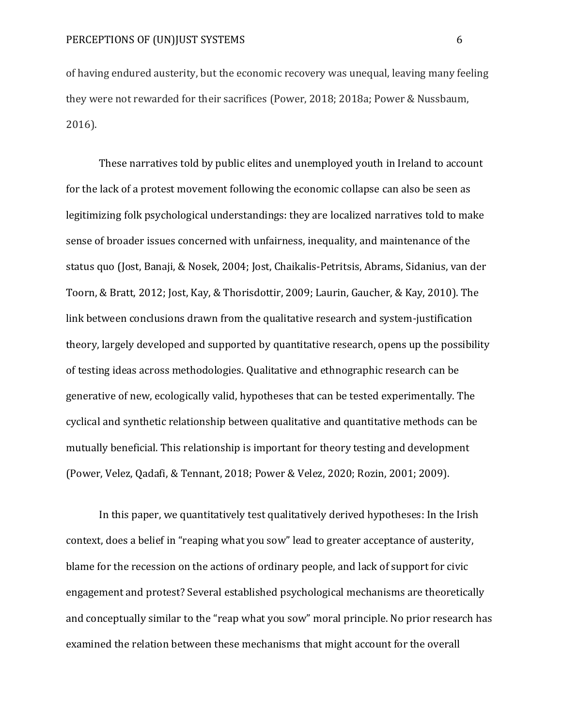of having endured austerity, but the economic recovery was unequal, leaving many feeling they were not rewarded for their sacrifices (Power, 2018; 2018a; Power & Nussbaum, 2016).

These narratives told by public elites and unemployed youth in Ireland to account for the lack of a protest movement following the economic collapse can also be seen as legitimizing folk psychological understandings: they are localized narratives told to make sense of broader issues concerned with unfairness, inequality, and maintenance of the status quo (Jost, Banaji, & Nosek, 2004; Jost, Chaikalis-Petritsis, Abrams, Sidanius, van der Toorn, & Bratt, 2012; Jost, Kay, & Thorisdottir, 2009; Laurin, Gaucher, & Kay, 2010). The link between conclusions drawn from the qualitative research and system-justification theory, largely developed and supported by quantitative research, opens up the possibility of testing ideas across methodologies. Qualitative and ethnographic research can be generative of new, ecologically valid, hypotheses that can be tested experimentally. The cyclical and synthetic relationship between qualitative and quantitative methods can be mutually beneficial. This relationship is important for theory testing and development (Power, Velez, Qadafi, & Tennant, 2018; Power & Velez, 2020; Rozin, 2001; 2009).

In this paper, we quantitatively test qualitatively derived hypotheses: In the Irish context, does a belief in "reaping what you sow" lead to greater acceptance of austerity, blame for the recession on the actions of ordinary people, and lack of support for civic engagement and protest? Several established psychological mechanisms are theoretically and conceptually similar to the "reap what you sow" moral principle. No prior research has examined the relation between these mechanisms that might account for the overall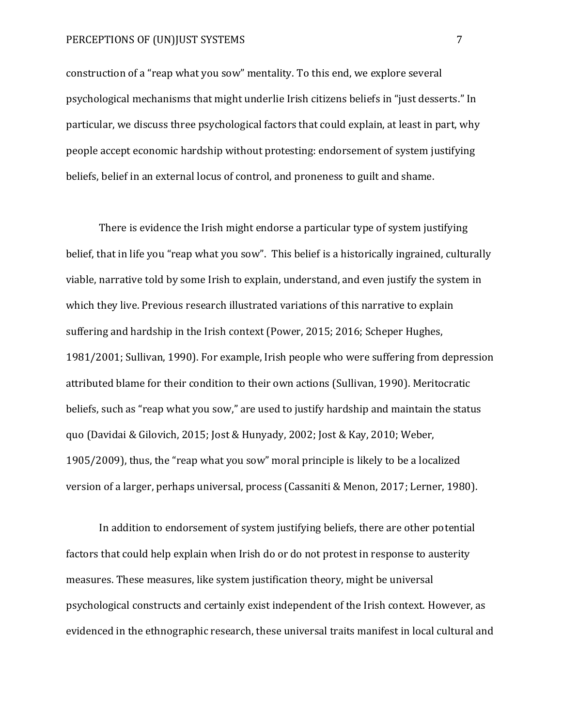construction of a "reap what you sow" mentality. To this end, we explore several psychological mechanisms that might underlie Irish citizens beliefs in "just desserts." In particular, we discuss three psychological factors that could explain, at least in part, why people accept economic hardship without protesting: endorsement of system justifying beliefs, belief in an external locus of control, and proneness to guilt and shame.

There is evidence the Irish might endorse a particular type of system justifying belief, that in life you "reap what you sow". This belief is a historically ingrained, culturally viable, narrative told by some Irish to explain, understand, and even justify the system in which they live. Previous research illustrated variations of this narrative to explain suffering and hardship in the Irish context (Power, 2015; 2016; Scheper Hughes, 1981/2001; Sullivan, 1990). For example, Irish people who were suffering from depression attributed blame for their condition to their own actions (Sullivan, 1990). Meritocratic beliefs, such as "reap what you sow," are used to justify hardship and maintain the status quo (Davidai & Gilovich, 2015; Jost & Hunyady, 2002; Jost & Kay, 2010; Weber, 1905/2009), thus, the "reap what you sow" moral principle is likely to be a localized version of a larger, perhaps universal, process (Cassaniti & Menon, 2017; Lerner, 1980).

In addition to endorsement of system justifying beliefs, there are other potential factors that could help explain when Irish do or do not protest in response to austerity measures. These measures, like system justification theory, might be universal psychological constructs and certainly exist independent of the Irish context. However, as evidenced in the ethnographic research, these universal traits manifest in local cultural and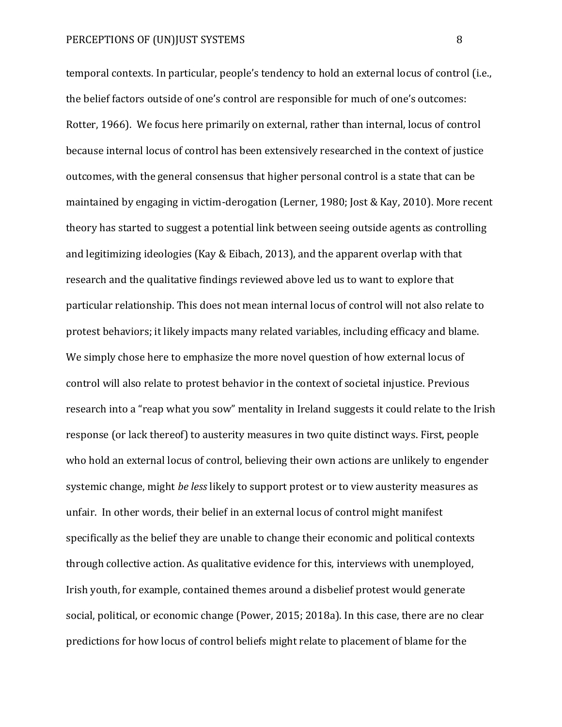temporal contexts. In particular, people's tendency to hold an external locus of control (i.e., the belief factors outside of one's control are responsible for much of one's outcomes: Rotter, 1966). We focus here primarily on external, rather than internal, locus of control because internal locus of control has been extensively researched in the context of justice outcomes, with the general consensus that higher personal control is a state that can be maintained by engaging in victim-derogation (Lerner, 1980; Jost & Kay, 2010). More recent theory has started to suggest a potential link between seeing outside agents as controlling and legitimizing ideologies (Kay & Eibach, 2013), and the apparent overlap with that research and the qualitative findings reviewed above led us to want to explore that particular relationship. This does not mean internal locus of control will not also relate to protest behaviors; it likely impacts many related variables, including efficacy and blame. We simply chose here to emphasize the more novel question of how external locus of control will also relate to protest behavior in the context of societal injustice. Previous research into a "reap what you sow" mentality in Ireland suggests it could relate to the Irish response (or lack thereof) to austerity measures in two quite distinct ways. First, people who hold an external locus of control, believing their own actions are unlikely to engender systemic change, might *be less* likely to support protest or to view austerity measures as unfair. In other words, their belief in an external locus of control might manifest specifically as the belief they are unable to change their economic and political contexts through collective action. As qualitative evidence for this, interviews with unemployed, Irish youth, for example, contained themes around a disbelief protest would generate social, political, or economic change (Power, 2015; 2018a). In this case, there are no clear predictions for how locus of control beliefs might relate to placement of blame for the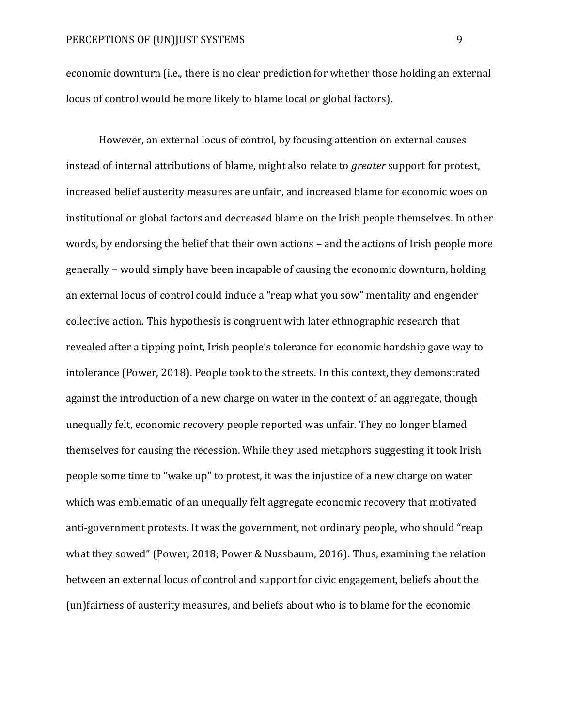economic downturn (i.e., there is no clear prediction for whether those holding an external locus of control would be more likely to blame local or global factors).

However, an external locus of control, by focusing attention on external causes instead of internal attributions of blame, might also relate to *greater* support for protest, increased belief austerity measures are unfair, and increased blame for economic woes on institutional or global factors and decreased blame on the Irish people themselves. In other words, by endorsing the belief that their own actions – and the actions of Irish people more generally – would simply have been incapable of causing the economic downturn, holding an external locus of control could induce a "reap what you sow" mentality and engender collective action. This hypothesis is congruent with later ethnographic research that revealed after a tipping point, Irish people's tolerance for economic hardship gave way to intolerance (Power, 2018). People took to the streets. In this context, they demonstrated against the introduction of a new charge on water in the context of an aggregate, though unequally felt, economic recovery people reported was unfair. They no longer blamed themselves for causing the recession. While they used metaphors suggesting it took Irish people some time to "wake up" to protest, it was the injustice of a new charge on water which was emblematic of an unequally felt aggregate economic recovery that motivated anti-government protests. It was the government, not ordinary people, who should "reap what they sowed" (Power, 2018; Power & Nussbaum, 2016). Thus, examining the relation between an external locus of control and support for civic engagement, beliefs about the (un)fairness of austerity measures, and beliefs about who is to blame for the economic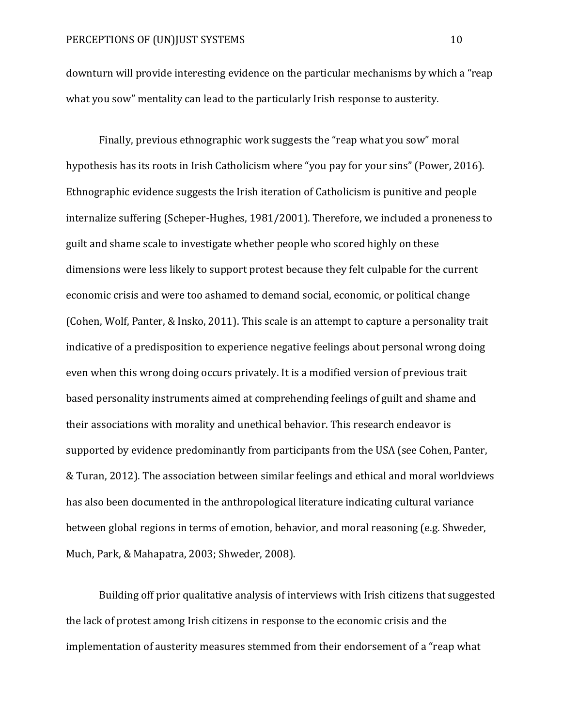downturn will provide interesting evidence on the particular mechanisms by which a "reap what you sow" mentality can lead to the particularly Irish response to austerity.

Finally, previous ethnographic work suggests the "reap what you sow" moral hypothesis has its roots in Irish Catholicism where "you pay for your sins" (Power, 2016). Ethnographic evidence suggests the Irish iteration of Catholicism is punitive and people internalize suffering (Scheper-Hughes, 1981/2001). Therefore, we included a proneness to guilt and shame scale to investigate whether people who scored highly on these dimensions were less likely to support protest because they felt culpable for the current economic crisis and were too ashamed to demand social, economic, or political change (Cohen, Wolf, Panter, & Insko, 2011). This scale is an attempt to capture a personality trait indicative of a predisposition to experience negative feelings about personal wrong doing even when this wrong doing occurs privately. It is a modified version of previous trait based personality instruments aimed at comprehending feelings of guilt and shame and their associations with morality and unethical behavior. This research endeavor is supported by evidence predominantly from participants from the USA (see Cohen, Panter, & Turan, 2012). The association between similar feelings and ethical and moral worldviews has also been documented in the anthropological literature indicating cultural variance between global regions in terms of emotion, behavior, and moral reasoning (e.g. Shweder, Much, Park, & Mahapatra, 2003; Shweder, 2008).

Building off prior qualitative analysis of interviews with Irish citizens that suggested the lack of protest among Irish citizens in response to the economic crisis and the implementation of austerity measures stemmed from their endorsement of a "reap what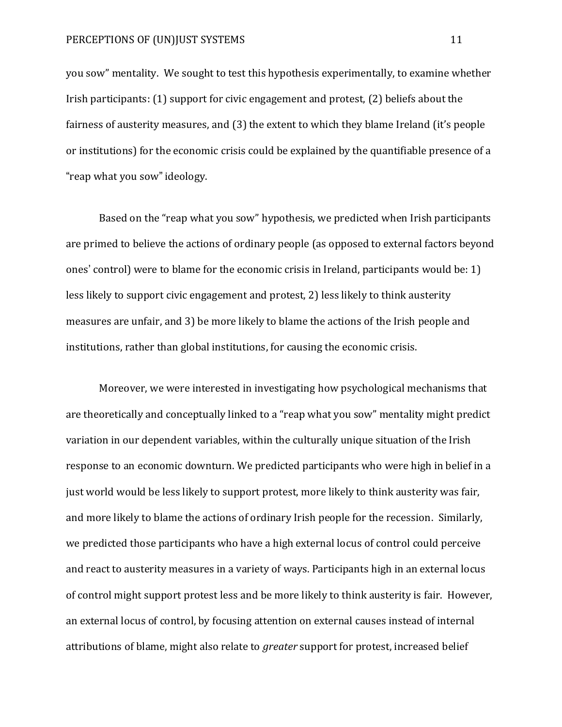you sow" mentality. We sought to test this hypothesis experimentally, to examine whether Irish participants: (1) support for civic engagement and protest, (2) beliefs about the fairness of austerity measures, and (3) the extent to which they blame Ireland (it's people or institutions) for the economic crisis could be explained by the quantifiable presence of a "reap what you sow" ideology.

Based on the "reap what you sow" hypothesis, we predicted when Irish participants are primed to believe the actions of ordinary people (as opposed to external factors beyond ones' control) were to blame for the economic crisis in Ireland, participants would be: 1) less likely to support civic engagement and protest, 2) less likely to think austerity measures are unfair, and 3) be more likely to blame the actions of the Irish people and institutions, rather than global institutions, for causing the economic crisis.

Moreover, we were interested in investigating how psychological mechanisms that are theoretically and conceptually linked to a "reap what you sow" mentality might predict variation in our dependent variables, within the culturally unique situation of the Irish response to an economic downturn. We predicted participants who were high in belief in a just world would be less likely to support protest, more likely to think austerity was fair, and more likely to blame the actions of ordinary Irish people for the recession. Similarly, we predicted those participants who have a high external locus of control could perceive and react to austerity measures in a variety of ways. Participants high in an external locus of control might support protest less and be more likely to think austerity is fair. However, an external locus of control, by focusing attention on external causes instead of internal attributions of blame, might also relate to *greater* support for protest, increased belief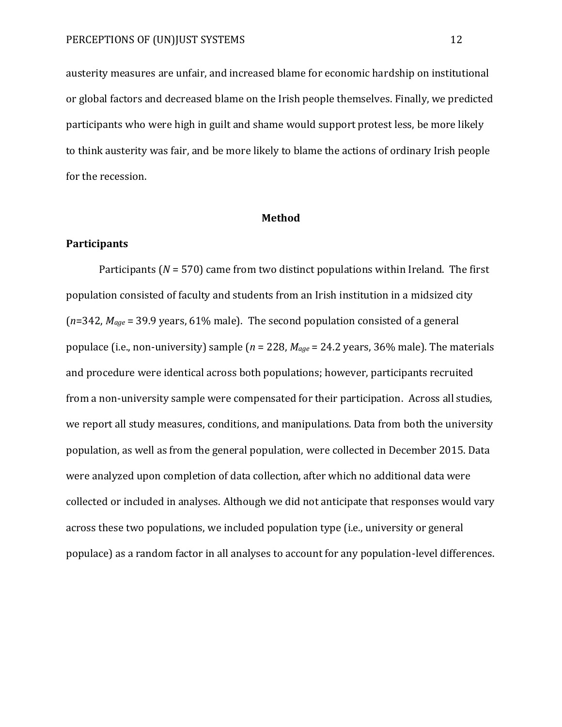austerity measures are unfair, and increased blame for economic hardship on institutional or global factors and decreased blame on the Irish people themselves. Finally, we predicted participants who were high in guilt and shame would support protest less, be more likely to think austerity was fair, and be more likely to blame the actions of ordinary Irish people for the recession.

# **Method**

# **Participants**

Participants (*N* = 570) came from two distinct populations within Ireland. The first population consisted of faculty and students from an Irish institution in a midsized city (*n*=342, *Mage* = 39.9 years, 61% male). The second population consisted of a general populace (i.e., non-university) sample (*n* = 228, *Mage* = 24.2 years, 36% male). The materials and procedure were identical across both populations; however, participants recruited from a non-university sample were compensated for their participation. Across all studies, we report all study measures, conditions, and manipulations. Data from both the university population, as well as from the general population, were collected in December 2015. Data were analyzed upon completion of data collection, after which no additional data were collected or included in analyses. Although we did not anticipate that responses would vary across these two populations, we included population type (i.e., university or general populace) as a random factor in all analyses to account for any population-level differences.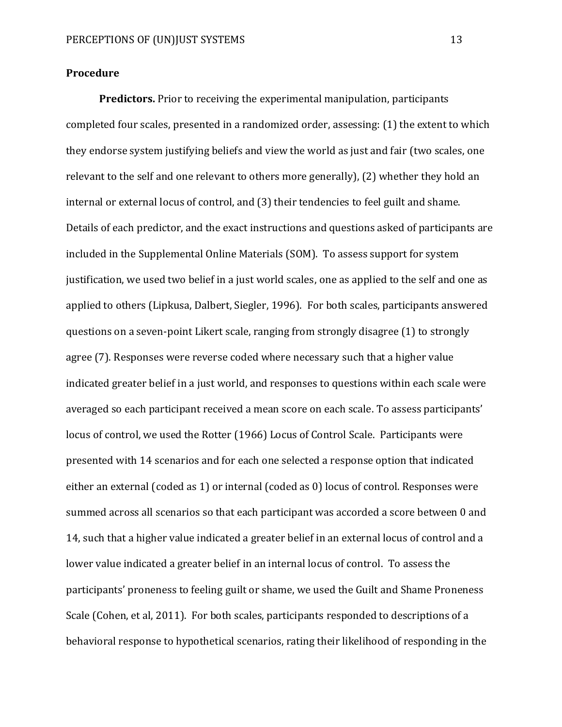# **Procedure**

**Predictors.** Prior to receiving the experimental manipulation, participants completed four scales, presented in a randomized order, assessing: (1) the extent to which they endorse system justifying beliefs and view the world as just and fair (two scales, one relevant to the self and one relevant to others more generally), (2) whether they hold an internal or external locus of control, and (3) their tendencies to feel guilt and shame. Details of each predictor, and the exact instructions and questions asked of participants are included in the Supplemental Online Materials (SOM). To assess support for system justification, we used two belief in a just world scales, one as applied to the self and one as applied to others (Lipkusa, Dalbert, Siegler, 1996). For both scales, participants answered questions on a seven-point Likert scale, ranging from strongly disagree (1) to strongly agree (7). Responses were reverse coded where necessary such that a higher value indicated greater belief in a just world, and responses to questions within each scale were averaged so each participant received a mean score on each scale. To assess participants' locus of control, we used the Rotter (1966) Locus of Control Scale. Participants were presented with 14 scenarios and for each one selected a response option that indicated either an external (coded as 1) or internal (coded as 0) locus of control. Responses were summed across all scenarios so that each participant was accorded a score between 0 and 14, such that a higher value indicated a greater belief in an external locus of control and a lower value indicated a greater belief in an internal locus of control. To assess the participants' proneness to feeling guilt or shame, we used the Guilt and Shame Proneness Scale (Cohen, et al, 2011). For both scales, participants responded to descriptions of a behavioral response to hypothetical scenarios, rating their likelihood of responding in the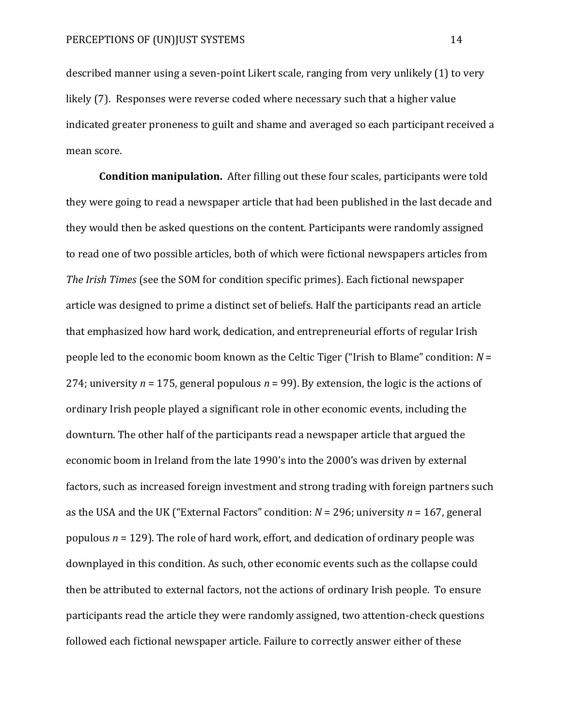described manner using a seven-point Likert scale, ranging from very unlikely (1) to very likely (7). Responses were reverse coded where necessary such that a higher value indicated greater proneness to guilt and shame and averaged so each participant received a mean score.

**Condition manipulation.** After filling out these four scales, participants were told they were going to read a newspaper article that had been published in the last decade and they would then be asked questions on the content. Participants were randomly assigned to read one of two possible articles, both of which were fictional newspapers articles from *The Irish Times* (see the SOM for condition specific primes). Each fictional newspaper article was designed to prime a distinct set of beliefs. Half the participants read an article that emphasized how hard work, dedication, and entrepreneurial efforts of regular Irish people led to the economic boom known as the Celtic Tiger ("Irish to Blame" condition: *N* = 274; university *n* = 175, general populous *n* = 99). By extension, the logic is the actions of ordinary Irish people played a significant role in other economic events, including the downturn. The other half of the participants read a newspaper article that argued the economic boom in Ireland from the late 1990's into the 2000's was driven by external factors, such as increased foreign investment and strong trading with foreign partners such as the USA and the UK ("External Factors" condition: *N* = 296; university *n* = 167, general populous *n* = 129). The role of hard work, effort, and dedication of ordinary people was downplayed in this condition. As such, other economic events such as the collapse could then be attributed to external factors, not the actions of ordinary Irish people. To ensure participants read the article they were randomly assigned, two attention-check questions followed each fictional newspaper article. Failure to correctly answer either of these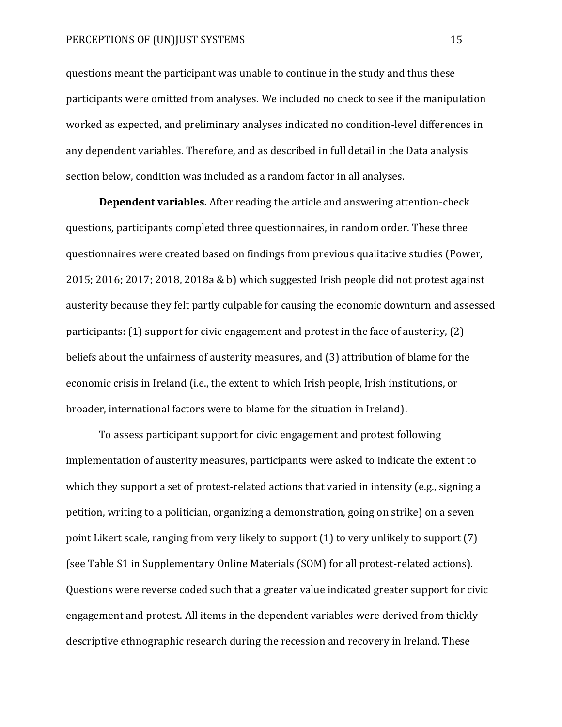questions meant the participant was unable to continue in the study and thus these participants were omitted from analyses. We included no check to see if the manipulation worked as expected, and preliminary analyses indicated no condition-level differences in any dependent variables. Therefore, and as described in full detail in the Data analysis section below, condition was included as a random factor in all analyses.

**Dependent variables.** After reading the article and answering attention-check questions, participants completed three questionnaires, in random order. These three questionnaires were created based on findings from previous qualitative studies (Power, 2015; 2016; 2017; 2018, 2018a & b) which suggested Irish people did not protest against austerity because they felt partly culpable for causing the economic downturn and assessed participants: (1) support for civic engagement and protest in the face of austerity, (2) beliefs about the unfairness of austerity measures, and (3) attribution of blame for the economic crisis in Ireland (i.e., the extent to which Irish people, Irish institutions, or broader, international factors were to blame for the situation in Ireland).

To assess participant support for civic engagement and protest following implementation of austerity measures, participants were asked to indicate the extent to which they support a set of protest-related actions that varied in intensity (e.g., signing a petition, writing to a politician, organizing a demonstration, going on strike) on a seven point Likert scale, ranging from very likely to support (1) to very unlikely to support (7) (see Table S1 in Supplementary Online Materials (SOM) for all protest-related actions). Questions were reverse coded such that a greater value indicated greater support for civic engagement and protest. All items in the dependent variables were derived from thickly descriptive ethnographic research during the recession and recovery in Ireland. These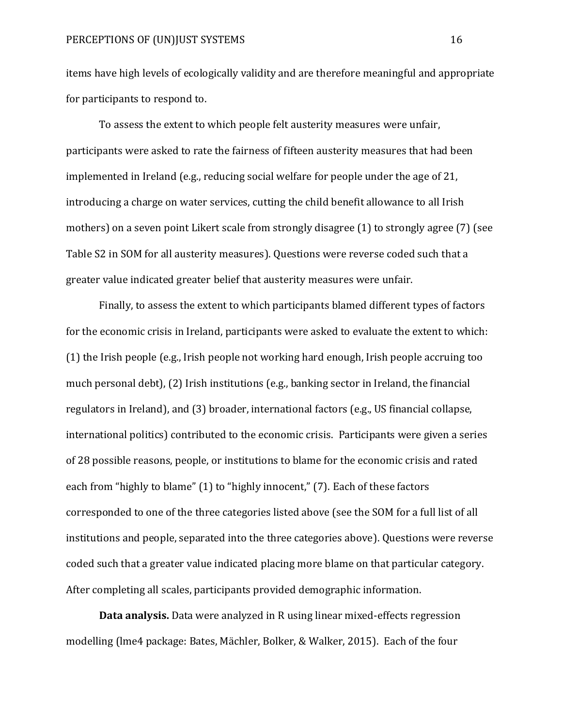items have high levels of ecologically validity and are therefore meaningful and appropriate for participants to respond to.

To assess the extent to which people felt austerity measures were unfair, participants were asked to rate the fairness of fifteen austerity measures that had been implemented in Ireland (e.g., reducing social welfare for people under the age of 21, introducing a charge on water services, cutting the child benefit allowance to all Irish mothers) on a seven point Likert scale from strongly disagree (1) to strongly agree (7) (see Table S2 in SOM for all austerity measures). Questions were reverse coded such that a greater value indicated greater belief that austerity measures were unfair.

Finally, to assess the extent to which participants blamed different types of factors for the economic crisis in Ireland, participants were asked to evaluate the extent to which: (1) the Irish people (e.g., Irish people not working hard enough, Irish people accruing too much personal debt), (2) Irish institutions (e.g., banking sector in Ireland, the financial regulators in Ireland), and (3) broader, international factors (e.g., US financial collapse, international politics) contributed to the economic crisis. Participants were given a series of 28 possible reasons, people, or institutions to blame for the economic crisis and rated each from "highly to blame" (1) to "highly innocent," (7). Each of these factors corresponded to one of the three categories listed above (see the SOM for a full list of all institutions and people, separated into the three categories above). Questions were reverse coded such that a greater value indicated placing more blame on that particular category. After completing all scales, participants provided demographic information.

**Data analysis.** Data were analyzed in R using linear mixed-effects regression modelling (lme4 package: Bates, Mächler, Bolker, & Walker, 2015). Each of the four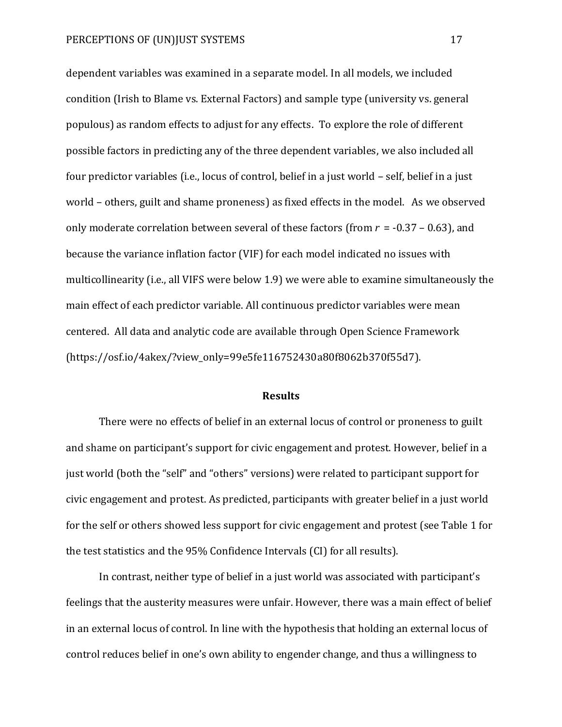dependent variables was examined in a separate model. In all models, we included condition (Irish to Blame vs. External Factors) and sample type (university vs. general populous) as random effects to adjust for any effects. To explore the role of different possible factors in predicting any of the three dependent variables, we also included all four predictor variables (i.e., locus of control, belief in a just world – self, belief in a just world – others, guilt and shame proneness) as fixed effects in the model. As we observed only moderate correlation between several of these factors (from *r* = -0.37 – 0.63), and because the variance inflation factor (VIF) for each model indicated no issues with multicollinearity (i.e., all VIFS were below 1.9) we were able to examine simultaneously the main effect of each predictor variable. All continuous predictor variables were mean centered. All data and analytic code are available through Open Science Framework (https://osf.io/4akex/?view\_only=99e5fe116752430a80f8062b370f55d7).

# **Results**

There were no effects of belief in an external locus of control or proneness to guilt and shame on participant's support for civic engagement and protest. However, belief in a just world (both the "self" and "others" versions) were related to participant support for civic engagement and protest. As predicted, participants with greater belief in a just world for the self or others showed less support for civic engagement and protest (see Table 1 for the test statistics and the 95% Confidence Intervals (CI) for all results).

In contrast, neither type of belief in a just world was associated with participant's feelings that the austerity measures were unfair. However, there was a main effect of belief in an external locus of control. In line with the hypothesis that holding an external locus of control reduces belief in one's own ability to engender change, and thus a willingness to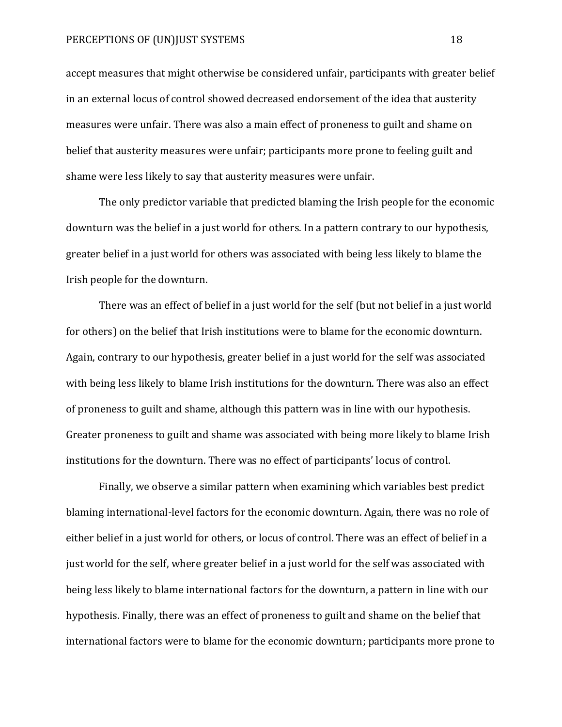accept measures that might otherwise be considered unfair, participants with greater belief in an external locus of control showed decreased endorsement of the idea that austerity measures were unfair. There was also a main effect of proneness to guilt and shame on belief that austerity measures were unfair; participants more prone to feeling guilt and shame were less likely to say that austerity measures were unfair.

The only predictor variable that predicted blaming the Irish people for the economic downturn was the belief in a just world for others. In a pattern contrary to our hypothesis, greater belief in a just world for others was associated with being less likely to blame the Irish people for the downturn.

There was an effect of belief in a just world for the self (but not belief in a just world for others) on the belief that Irish institutions were to blame for the economic downturn. Again, contrary to our hypothesis, greater belief in a just world for the self was associated with being less likely to blame Irish institutions for the downturn. There was also an effect of proneness to guilt and shame, although this pattern was in line with our hypothesis. Greater proneness to guilt and shame was associated with being more likely to blame Irish institutions for the downturn. There was no effect of participants' locus of control.

Finally, we observe a similar pattern when examining which variables best predict blaming international-level factors for the economic downturn. Again, there was no role of either belief in a just world for others, or locus of control. There was an effect of belief in a just world for the self, where greater belief in a just world for the self was associated with being less likely to blame international factors for the downturn, a pattern in line with our hypothesis. Finally, there was an effect of proneness to guilt and shame on the belief that international factors were to blame for the economic downturn; participants more prone to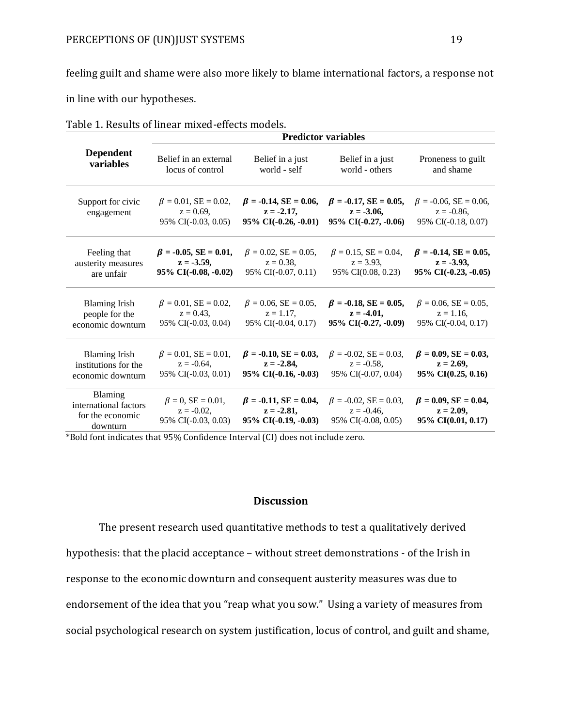feeling guilt and shame were also more likely to blame international factors, a response not

in line with our hypotheses.

|                                                                  | <b>Predictor variables</b>                                         |                                                                         |                                                                       |                                                                      |
|------------------------------------------------------------------|--------------------------------------------------------------------|-------------------------------------------------------------------------|-----------------------------------------------------------------------|----------------------------------------------------------------------|
| <b>Dependent</b>                                                 | Belief in an external                                              | Belief in a just                                                        | Belief in a just                                                      | Proneness to guilt                                                   |
| variables                                                        | locus of control                                                   | world - self                                                            | world - others                                                        | and shame                                                            |
| Support for civic<br>engagement                                  | $\beta = 0.01$ , SE = 0.02,<br>$z = 0.69$ ,<br>95% CI(-0.03, 0.05) | $\beta = -0.14$ , SE = 0.06,<br>$z = -2.17$<br>$95\%$ CI(-0.26, -0.01)  | $\beta = -0.17$ , SE = 0.05,<br>$z = -3.06$ ,<br>95% CI(-0.27, -0.06) | $\beta = -0.06$ , SE = 0.06,<br>$z = -0.86$ ,<br>95% CI(-0.18, 0.07) |
| Feeling that                                                     | $\beta = -0.05$ , SE = 0.01,                                       | $\beta = 0.02$ , SE = 0.05,                                             | $\beta = 0.15$ , SE = 0.04,                                           | $\beta = -0.14$ , SE = 0.05,                                         |
| austerity measures                                               | $z = -3.59$ ,                                                      | $z = 0.38$ ,                                                            | $z = 3.93$                                                            | $z = -3.93$ ,                                                        |
| are unfair                                                       | 95% CI(-0.08, -0.02)                                               | 95% CI(-0.07, 0.11)                                                     | 95% CI(0.08, 0.23)                                                    | $95\%$ CI(-0.23, -0.05)                                              |
| <b>Blaming Irish</b>                                             | $\beta = 0.01$ , SE = 0.02,                                        | $\beta = 0.06$ , SE = 0.05,                                             | $\beta = -0.18$ , SE = 0.05,                                          | $\beta = 0.06$ , SE = 0.05,                                          |
| people for the                                                   | $z = 0.43$ ,                                                       | $z = 1.17$ ,                                                            | $z = -4.01$ ,                                                         | $z = 1.16$ ,                                                         |
| economic downturn                                                | 95% CI(-0.03, 0.04)                                                | 95% CI(-0.04, 0.17)                                                     | 95% CI(-0.27, -0.09)                                                  | 95% CI(-0.04, 0.17)                                                  |
| <b>Blaming Irish</b>                                             | $\beta = 0.01$ , SE = 0.01,                                        | $\beta = -0.10$ , SE = 0.03,                                            | $\beta = -0.02$ , SE = 0.03,                                          | $\beta = 0.09$ , SE = 0.03,                                          |
| institutions for the                                             | $z = -0.64$ .                                                      | $z = -2.84$                                                             | $z = -0.58$ ,                                                         | $z = 2.69$ ,                                                         |
| economic downturn                                                | 95% CI(-0.03, 0.01)                                                | $95\%$ CI( $-0.16, -0.03$ )                                             | 95% CI(-0.07, 0.04)                                                   | 95% CI(0.25, 0.16)                                                   |
| Blaming<br>international factors<br>for the economic<br>downturn | $\beta = 0$ , SE = 0.01,<br>$z = -0.02$<br>95% CI(-0.03, 0.03)     | $\beta = -0.11$ , SE = 0.04,<br>$z = -2.81,$<br>$95\%$ CI(-0.19, -0.03) | $\beta = -0.02$ , SE = 0.03,<br>$z = -0.46$ ,<br>95% CI(-0.08, 0.05)  | $\beta = 0.09$ , SE = 0.04,<br>$z = 2.09$ ,<br>95% CI(0.01, 0.17)    |

Table 1. Results of linear mixed-effects models.

\*Bold font indicates that 95% Confidence Interval (CI) does not include zero.

# **Discussion**

The present research used quantitative methods to test a qualitatively derived hypothesis: that the placid acceptance – without street demonstrations - of the Irish in response to the economic downturn and consequent austerity measures was due to endorsement of the idea that you "reap what you sow." Using a variety of measures from social psychological research on system justification, locus of control, and guilt and shame,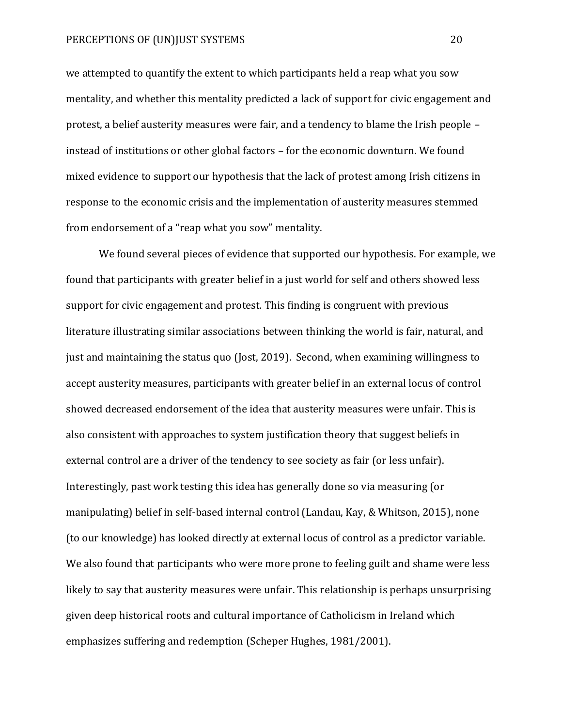we attempted to quantify the extent to which participants held a reap what you sow mentality, and whether this mentality predicted a lack of support for civic engagement and protest, a belief austerity measures were fair, and a tendency to blame the Irish people – instead of institutions or other global factors – for the economic downturn. We found mixed evidence to support our hypothesis that the lack of protest among Irish citizens in response to the economic crisis and the implementation of austerity measures stemmed from endorsement of a "reap what you sow" mentality.

We found several pieces of evidence that supported our hypothesis. For example, we found that participants with greater belief in a just world for self and others showed less support for civic engagement and protest. This finding is congruent with previous literature illustrating similar associations between thinking the world is fair, natural, and just and maintaining the status quo (Jost, 2019). Second, when examining willingness to accept austerity measures, participants with greater belief in an external locus of control showed decreased endorsement of the idea that austerity measures were unfair. This is also consistent with approaches to system justification theory that suggest beliefs in external control are a driver of the tendency to see society as fair (or less unfair). Interestingly, past work testing this idea has generally done so via measuring (or manipulating) belief in self-based internal control (Landau, Kay, & Whitson, 2015), none (to our knowledge) has looked directly at external locus of control as a predictor variable. We also found that participants who were more prone to feeling guilt and shame were less likely to say that austerity measures were unfair. This relationship is perhaps unsurprising given deep historical roots and cultural importance of Catholicism in Ireland which emphasizes suffering and redemption (Scheper Hughes, 1981/2001).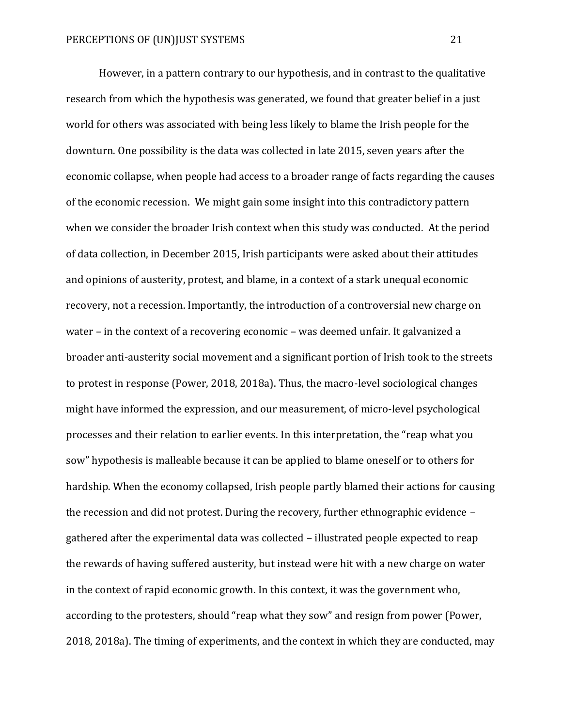However, in a pattern contrary to our hypothesis, and in contrast to the qualitative research from which the hypothesis was generated, we found that greater belief in a just world for others was associated with being less likely to blame the Irish people for the downturn. One possibility is the data was collected in late 2015, seven years after the economic collapse, when people had access to a broader range of facts regarding the causes of the economic recession. We might gain some insight into this contradictory pattern when we consider the broader Irish context when this study was conducted. At the period of data collection, in December 2015, Irish participants were asked about their attitudes and opinions of austerity, protest, and blame, in a context of a stark unequal economic recovery, not a recession. Importantly, the introduction of a controversial new charge on water – in the context of a recovering economic – was deemed unfair. It galvanized a broader anti-austerity social movement and a significant portion of Irish took to the streets to protest in response (Power, 2018, 2018a). Thus, the macro-level sociological changes might have informed the expression, and our measurement, of micro-level psychological processes and their relation to earlier events. In this interpretation, the "reap what you sow" hypothesis is malleable because it can be applied to blame oneself or to others for hardship. When the economy collapsed, Irish people partly blamed their actions for causing the recession and did not protest. During the recovery, further ethnographic evidence – gathered after the experimental data was collected – illustrated people expected to reap the rewards of having suffered austerity, but instead were hit with a new charge on water in the context of rapid economic growth. In this context, it was the government who, according to the protesters, should "reap what they sow" and resign from power (Power, 2018, 2018a). The timing of experiments, and the context in which they are conducted, may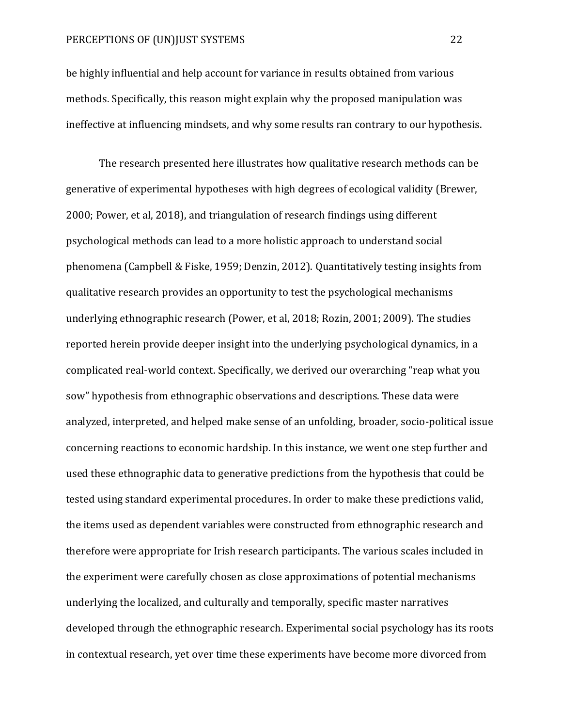be highly influential and help account for variance in results obtained from various methods. Specifically, this reason might explain why the proposed manipulation was ineffective at influencing mindsets, and why some results ran contrary to our hypothesis.

The research presented here illustrates how qualitative research methods can be generative of experimental hypotheses with high degrees of ecological validity (Brewer, 2000; Power, et al, 2018), and triangulation of research findings using different psychological methods can lead to a more holistic approach to understand social phenomena (Campbell & Fiske, 1959; Denzin, 2012). Quantitatively testing insights from qualitative research provides an opportunity to test the psychological mechanisms underlying ethnographic research (Power, et al, 2018; Rozin, 2001; 2009). The studies reported herein provide deeper insight into the underlying psychological dynamics, in a complicated real-world context. Specifically, we derived our overarching "reap what you sow" hypothesis from ethnographic observations and descriptions. These data were analyzed, interpreted, and helped make sense of an unfolding, broader, socio-political issue concerning reactions to economic hardship. In this instance, we went one step further and used these ethnographic data to generative predictions from the hypothesis that could be tested using standard experimental procedures. In order to make these predictions valid, the items used as dependent variables were constructed from ethnographic research and therefore were appropriate for Irish research participants. The various scales included in the experiment were carefully chosen as close approximations of potential mechanisms underlying the localized, and culturally and temporally, specific master narratives developed through the ethnographic research. Experimental social psychology has its roots in contextual research, yet over time these experiments have become more divorced from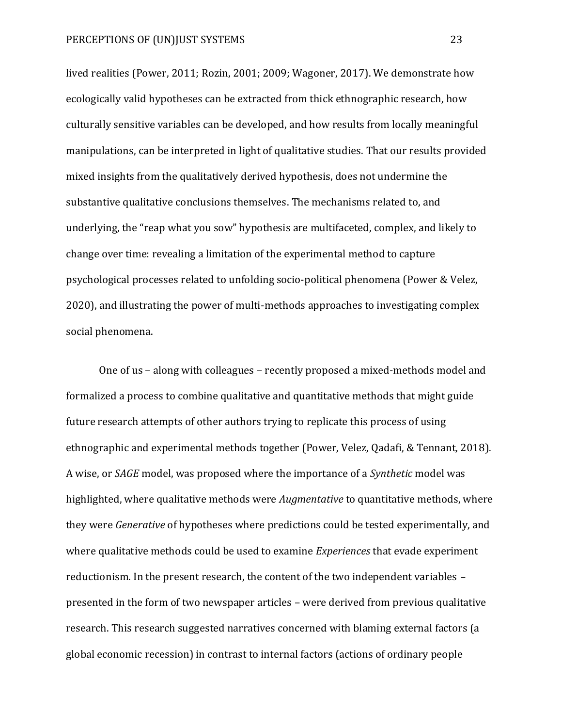lived realities (Power, 2011; Rozin, 2001; 2009; Wagoner, 2017). We demonstrate how ecologically valid hypotheses can be extracted from thick ethnographic research, how culturally sensitive variables can be developed, and how results from locally meaningful manipulations, can be interpreted in light of qualitative studies. That our results provided mixed insights from the qualitatively derived hypothesis, does not undermine the substantive qualitative conclusions themselves. The mechanisms related to, and underlying, the "reap what you sow" hypothesis are multifaceted, complex, and likely to change over time: revealing a limitation of the experimental method to capture psychological processes related to unfolding socio-political phenomena (Power & Velez, 2020), and illustrating the power of multi-methods approaches to investigating complex social phenomena.

One of us – along with colleagues – recently proposed a mixed-methods model and formalized a process to combine qualitative and quantitative methods that might guide future research attempts of other authors trying to replicate this process of using ethnographic and experimental methods together (Power, Velez, Qadafi, & Tennant, 2018). A wise, or *SAGE* model, was proposed where the importance of a *Synthetic* model was highlighted, where qualitative methods were *Augmentative* to quantitative methods, where they were *Generative* of hypotheses where predictions could be tested experimentally, and where qualitative methods could be used to examine *Experiences* that evade experiment reductionism. In the present research, the content of the two independent variables – presented in the form of two newspaper articles – were derived from previous qualitative research. This research suggested narratives concerned with blaming external factors (a global economic recession) in contrast to internal factors (actions of ordinary people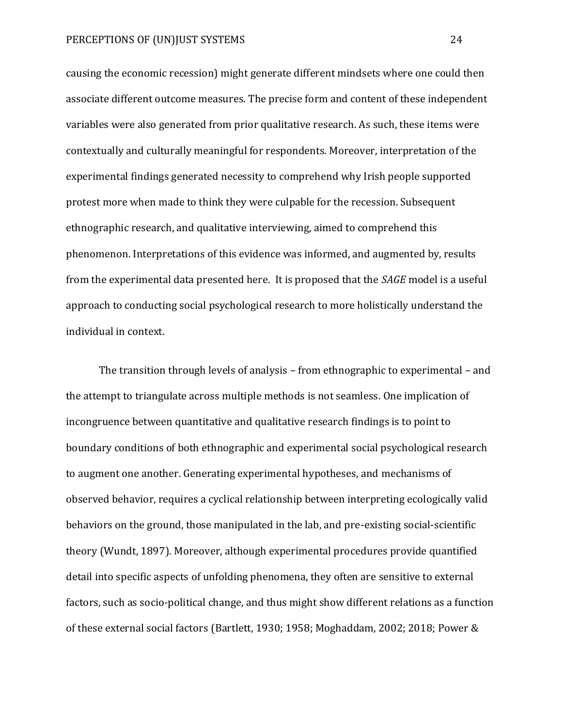causing the economic recession) might generate different mindsets where one could then associate different outcome measures. The precise form and content of these independent variables were also generated from prior qualitative research. As such, these items were contextually and culturally meaningful for respondents. Moreover, interpretation of the experimental findings generated necessity to comprehend why Irish people supported protest more when made to think they were culpable for the recession. Subsequent ethnographic research, and qualitative interviewing, aimed to comprehend this phenomenon. Interpretations of this evidence was informed, and augmented by, results from the experimental data presented here. It is proposed that the *SAGE* model is a useful approach to conducting social psychological research to more holistically understand the individual in context.

The transition through levels of analysis – from ethnographic to experimental – and the attempt to triangulate across multiple methods is not seamless. One implication of incongruence between quantitative and qualitative research findings is to point to boundary conditions of both ethnographic and experimental social psychological research to augment one another. Generating experimental hypotheses, and mechanisms of observed behavior, requires a cyclical relationship between interpreting ecologically valid behaviors on the ground, those manipulated in the lab, and pre-existing social-scientific theory (Wundt, 1897). Moreover, although experimental procedures provide quantified detail into specific aspects of unfolding phenomena, they often are sensitive to external factors, such as socio-political change, and thus might show different relations as a function of these external social factors (Bartlett, 1930; 1958; Moghaddam, 2002; 2018; Power &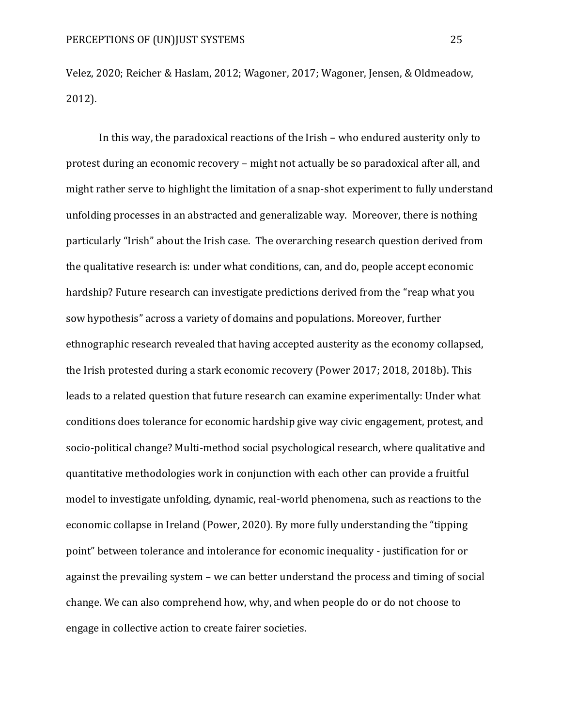Velez, 2020; Reicher & Haslam, 2012; Wagoner, 2017; Wagoner, Jensen, & Oldmeadow, 2012).

In this way, the paradoxical reactions of the Irish – who endured austerity only to protest during an economic recovery – might not actually be so paradoxical after all, and might rather serve to highlight the limitation of a snap-shot experiment to fully understand unfolding processes in an abstracted and generalizable way. Moreover, there is nothing particularly "Irish" about the Irish case. The overarching research question derived from the qualitative research is: under what conditions, can, and do, people accept economic hardship? Future research can investigate predictions derived from the "reap what you sow hypothesis" across a variety of domains and populations. Moreover, further ethnographic research revealed that having accepted austerity as the economy collapsed, the Irish protested during a stark economic recovery (Power 2017; 2018, 2018b). This leads to a related question that future research can examine experimentally: Under what conditions does tolerance for economic hardship give way civic engagement, protest, and socio-political change? Multi-method social psychological research, where qualitative and quantitative methodologies work in conjunction with each other can provide a fruitful model to investigate unfolding, dynamic, real-world phenomena, such as reactions to the economic collapse in Ireland (Power, 2020). By more fully understanding the "tipping point" between tolerance and intolerance for economic inequality - justification for or against the prevailing system – we can better understand the process and timing of social change. We can also comprehend how, why, and when people do or do not choose to engage in collective action to create fairer societies.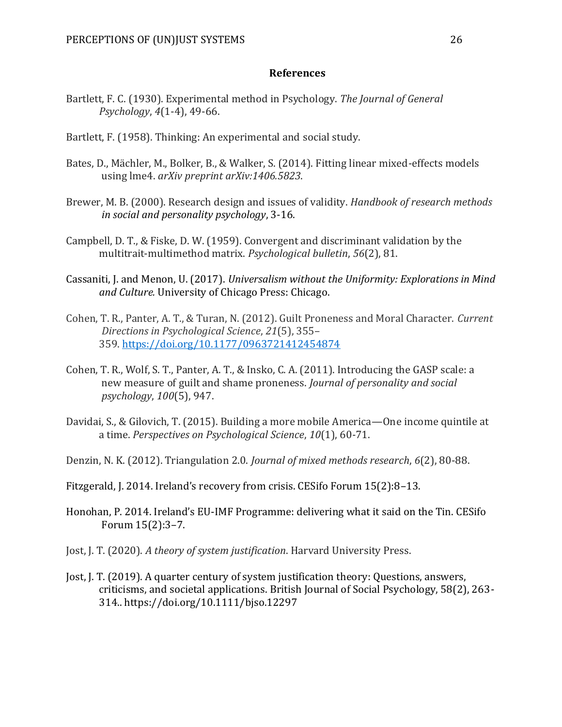# **References**

- Bartlett, F. C. (1930). Experimental method in Psychology. *The Journal of General Psychology*, *4*(1-4), 49-66.
- Bartlett, F. (1958). Thinking: An experimental and social study.
- Bates, D., Mächler, M., Bolker, B., & Walker, S. (2014). Fitting linear mixed-effects models using lme4. *arXiv preprint arXiv:1406.5823*.
- Brewer, M. B. (2000). Research design and issues of validity. *Handbook of research methods in social and personality psychology*, 3-16.
- Campbell, D. T., & Fiske, D. W. (1959). Convergent and discriminant validation by the multitrait-multimethod matrix. *Psychological bulletin*, *56*(2), 81.
- Cassaniti, J. and Menon, U. (2017). *Universalism without the Uniformity: Explorations in Mind and Culture.* University of Chicago Press: Chicago.
- Cohen, T. R., Panter, A. T., & Turan, N. (2012). Guilt Proneness and Moral Character. *Current Directions in Psychological Science*, *21*(5), 355– 359. <https://doi.org/10.1177/0963721412454874>
- Cohen, T. R., Wolf, S. T., Panter, A. T., & Insko, C. A. (2011). Introducing the GASP scale: a new measure of guilt and shame proneness. *Journal of personality and social psychology*, *100*(5), 947.
- Davidai, S., & Gilovich, T. (2015). Building a more mobile America—One income quintile at a time. *Perspectives on Psychological Science*, *10*(1), 60-71.
- Denzin, N. K. (2012). Triangulation 2.0. *Journal of mixed methods research*, *6*(2), 80-88.
- Fitzgerald, J. 2014. Ireland's recovery from crisis. CESifo Forum 15(2):8–13.
- Honohan, P. 2014. Ireland's EU-IMF Programme: delivering what it said on the Tin. CESifo Forum 15(2):3–7.
- Jost, J. T. (2020). *A theory of system justification*. Harvard University Press.
- Jost, J. T. (2019). A quarter century of system justification theory: Questions, answers, criticisms, and societal applications. British Journal of Social Psychology, 58(2), 263- 314.. https://doi.org/10.1111/bjso.12297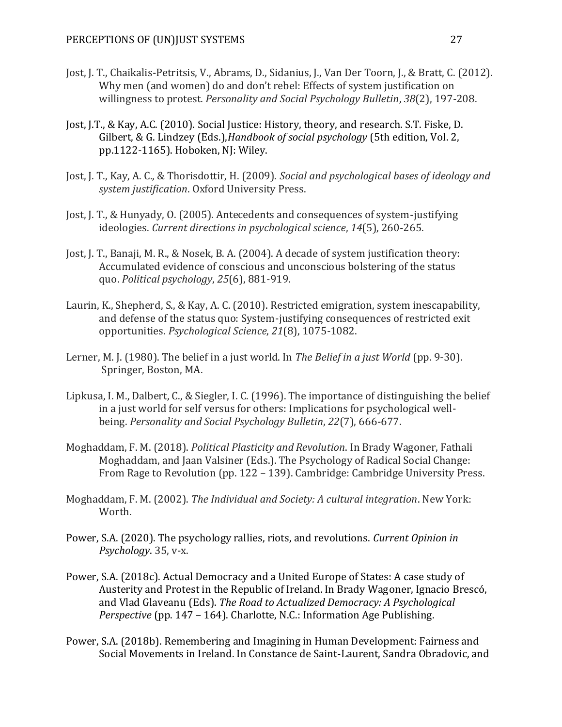- Jost, J. T., Chaikalis-Petritsis, V., Abrams, D., Sidanius, J., Van Der Toorn, J., & Bratt, C. (2012). Why men (and women) do and don't rebel: Effects of system justification on willingness to protest. *Personality and Social Psychology Bulletin*, *38*(2), 197-208.
- Jost, J.T., & Kay, A.C. (2010). Social Justice: History, theory, and research. S.T. Fiske, D. Gilbert, & G. Lindzey (Eds.),*Handbook of social psychology* (5th edition, Vol. 2, pp.1122-1165). Hoboken, NJ: Wiley.
- Jost, J. T., Kay, A. C., & Thorisdottir, H. (2009). *Social and psychological bases of ideology and system justification*. Oxford University Press.
- Jost, J. T., & Hunyady, O. (2005). Antecedents and consequences of system-justifying ideologies. *Current directions in psychological science*, *14*(5), 260-265.
- Jost, J. T., Banaji, M. R., & Nosek, B. A. (2004). A decade of system justification theory: Accumulated evidence of conscious and unconscious bolstering of the status quo. *Political psychology*, *25*(6), 881-919.
- Laurin, K., Shepherd, S., & Kay, A. C. (2010). Restricted emigration, system inescapability, and defense of the status quo: System-justifying consequences of restricted exit opportunities. *Psychological Science*, *21*(8), 1075-1082.
- Lerner, M. J. (1980). The belief in a just world. In *The Belief in a just World* (pp. 9-30). Springer, Boston, MA.
- Lipkusa, I. M., Dalbert, C., & Siegler, I. C. (1996). The importance of distinguishing the belief in a just world for self versus for others: Implications for psychological wellbeing. *Personality and Social Psychology Bulletin*, *22*(7), 666-677.
- Moghaddam, F. M. (2018). *Political Plasticity and Revolution*. In Brady Wagoner, Fathali Moghaddam, and Jaan Valsiner (Eds.). The Psychology of Radical Social Change: From Rage to Revolution (pp. 122 – 139). Cambridge: Cambridge University Press.
- Moghaddam, F. M. (2002). *The Individual and Society: A cultural integration*. New York: Worth.
- Power, S.A. (2020). The psychology rallies, riots, and revolutions. *Current Opinion in Psychology*. 35, v-x.
- Power, S.A. (2018c). Actual Democracy and a United Europe of States: A case study of Austerity and Protest in the Republic of Ireland. In Brady Wagoner, Ignacio Brescó, and Vlad Glaveanu (Eds). *The Road to Actualized Democracy: A Psychological Perspective* (pp. 147 – 164). Charlotte, N.C.: Information Age Publishing.
- Power, S.A. (2018b). Remembering and Imagining in Human Development: Fairness and Social Movements in Ireland. In Constance de Saint-Laurent, Sandra Obradovic, and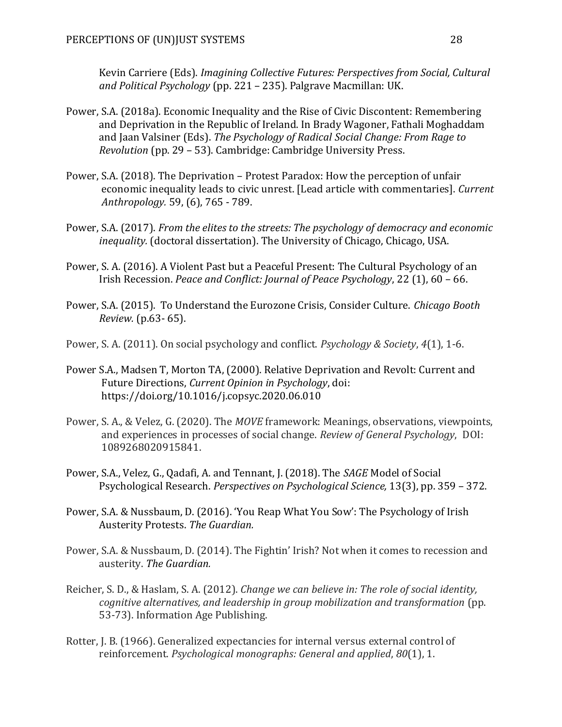Kevin Carriere (Eds). *Imagining Collective Futures: Perspectives from Social, Cultural and Political Psychology* (pp. 221 – 235). Palgrave Macmillan: UK.

- Power, S.A. (2018a). Economic Inequality and the Rise of Civic Discontent: Remembering and Deprivation in the Republic of Ireland. In Brady Wagoner, Fathali Moghaddam and Jaan Valsiner (Eds). *The Psychology of Radical Social Change: From Rage to Revolution* (pp. 29 – 53). Cambridge: Cambridge University Press.
- Power, S.A. (2018). The Deprivation Protest Paradox: How the perception of unfair economic inequality leads to civic unrest. [Lead article with commentaries]. *Current Anthropology.* 59, (6), 765 - 789.
- Power, S.A. (2017). *From the elites to the streets: The psychology of democracy and economic inequality.* (doctoral dissertation). The University of Chicago, Chicago, USA.
- Power, S. A. (2016). A Violent Past but a Peaceful Present: The Cultural Psychology of an Irish Recession. *Peace and Conflict: Journal of Peace Psychology*, 22 (1), 60 – 66.
- Power, S.A. (2015). To Understand the Eurozone Crisis, Consider Culture. *Chicago Booth Review.* (p.63- 65).
- Power, S. A. (2011). On social psychology and conflict. *Psychology & Society*, *4*(1), 1-6.
- Power S.A., Madsen T, Morton TA, (2000). Relative Deprivation and Revolt: Current and Future Directions, *Current Opinion in Psychology*, doi: https://doi.org/10.1016/j.copsyc.2020.06.010
- Power, S. A., & Velez, G. (2020). The *MOVE* framework: Meanings, observations, viewpoints, and experiences in processes of social change. *Review of General Psychology*, DOI: 1089268020915841.
- Power, S.A., Velez, G., Qadafi, A. and Tennant, J. (2018). The *SAGE* Model of Social Psychological Research. *Perspectives on Psychological Science,* 13(3), pp. 359 – 372.
- Power, S.A. & Nussbaum, D. (2016). 'You Reap What You Sow': The Psychology of Irish Austerity Protests. *The Guardian.*
- Power, S.A. & Nussbaum, D. (2014). The Fightin' Irish? Not when it comes to recession and austerity. *The Guardian.*
- Reicher, S. D., & Haslam, S. A. (2012). *Change we can believe in: The role of social identity, cognitive alternatives, and leadership in group mobilization and transformation* (pp. 53-73). Information Age Publishing.
- Rotter, J. B. (1966). Generalized expectancies for internal versus external control of reinforcement. *Psychological monographs: General and applied*, *80*(1), 1.